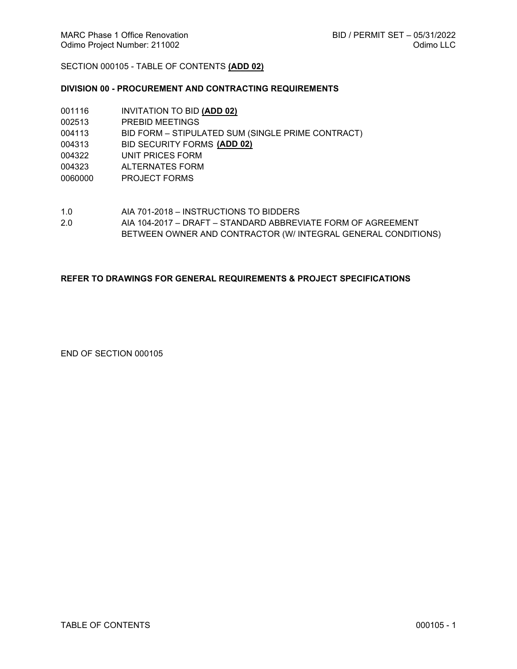# SECTION 000105 - TABLE OF CONTENTS **(ADD 02)**

# **DIVISION 00 - PROCUREMENT AND CONTRACTING REQUIREMENTS**

| 001116  | INVITATION TO BID (ADD 02)                        |
|---------|---------------------------------------------------|
| 002513  | PREBID MEETINGS                                   |
| 004113  | BID FORM – STIPULATED SUM (SINGLE PRIME CONTRACT) |
| 004313  | BID SECURITY FORMS (ADD 02)                       |
| 004322  | UNIT PRICES FORM                                  |
| 004323  | ALTERNATES FORM                                   |
| 0060000 | <b>PROJECT FORMS</b>                              |
|         |                                                   |

- 1.0 AIA 701-2018 INSTRUCTIONS TO BIDDERS
- 2.0 AIA 104-2017 DRAFT STANDARD ABBREVIATE FORM OF AGREEMENT BETWEEN OWNER AND CONTRACTOR (W/ INTEGRAL GENERAL CONDITIONS)

### **REFER TO DRAWINGS FOR GENERAL REQUIREMENTS & PROJECT SPECIFICATIONS**

END OF SECTION 000105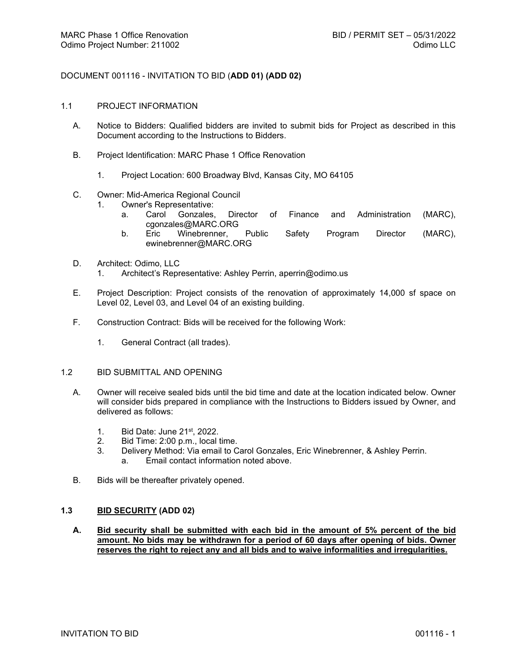## DOCUMENT 001116 - INVITATION TO BID (**ADD 01) (ADD 02)**

#### 1.1 PROJECT INFORMATION

- A. Notice to Bidders: Qualified bidders are invited to submit bids for Project as described in this Document according to the Instructions to Bidders.
- B. Project Identification: MARC Phase 1 Office Renovation
	- 1. Project Location: 600 Broadway Blvd, Kansas City, MO 64105
- C. Owner: Mid-America Regional Council
	- 1. Owner's Representative:
		- a. Carol Gonzales, Director of Finance and Administration (MARC), cgonzales@MARC.ORG
		- b. Eric Winebrenner, Public Safety Program Director (MARC), ewinebrenner@MARC.ORG
- D. Architect: Odimo, LLC
	- 1. Architect's Representative: Ashley Perrin, aperrin@odimo.us
- E. Project Description: Project consists of the renovation of approximately 14,000 sf space on Level 02, Level 03, and Level 04 of an existing building.
- F. Construction Contract: Bids will be received for the following Work:
	- 1. General Contract (all trades).

## 1.2 BID SUBMITTAL AND OPENING

- A. Owner will receive sealed bids until the bid time and date at the location indicated below. Owner will consider bids prepared in compliance with the Instructions to Bidders issued by Owner, and delivered as follows:
	- 1. Bid Date: June 21st, 2022.
	- 2. Bid Time: 2:00 p.m., local time.<br>3. Delivery Method: Via email to C
	- Delivery Method: Via email to Carol Gonzales, Eric Winebrenner, & Ashley Perrin.
		- a. Email contact information noted above.
- B. Bids will be thereafter privately opened.

### **1.3 BID SECURITY (ADD 02)**

**A. Bid security shall be submitted with each bid in the amount of 5% percent of the bid amount. No bids may be withdrawn for a period of 60 days after opening of bids. Owner reserves the right to reject any and all bids and to waive informalities and irregularities.**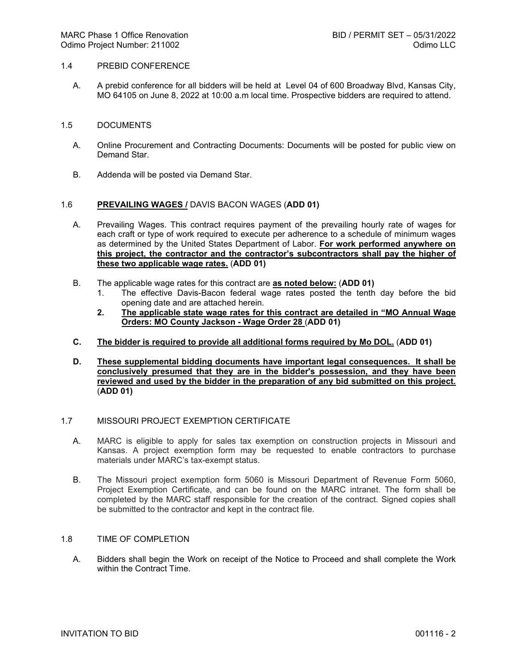#### 1.4 PREBID CONFERENCE

A. A prebid conference for all bidders will be held at Level 04 of 600 Broadway Blvd, Kansas City, MO 64105 on June 8, 2022 at 10:00 a.m local time. Prospective bidders are required to attend.

#### 1.5 DOCUMENTS

- A. Online Procurement and Contracting Documents: Documents will be posted for public view on Demand Star.
- B. Addenda will be posted via Demand Star.

### 1.6 **PREVAILING WAGES /** DAVIS BACON WAGES (**ADD 01)**

- A. Prevailing Wages. This contract requires payment of the prevailing hourly rate of wages for each craft or type of work required to execute per adherence to a schedule of minimum wages as determined by the United States Department of Labor. **For work performed anywhere on this project, the contractor and the contractor's subcontractors shall pay the higher of these two applicable wage rates.** (**ADD 01)**
- B. The applicable wage rates for this contract are **as noted below:** (**ADD 01)**
	- 1. The effective Davis-Bacon federal wage rates posted the tenth day before the bid opening date and are attached herein.
	- **2. The applicable state wage rates for this contract are detailed in "MO Annual Wage Orders: MO County Jackson - Wage Order 28** (**ADD 01)**
- **C. The bidder is required to provide all additional forms required by Mo DOL.** (**ADD 01)**
- **D. These supplemental bidding documents have important legal consequences. It shall be conclusively presumed that they are in the bidder's possession, and they have been reviewed and used by the bidder in the preparation of any bid submitted on this project.**  (**ADD 01)**

#### 1.7 MISSOURI PROJECT EXEMPTION CERTIFICATE

- A. MARC is eligible to apply for sales tax exemption on construction projects in Missouri and Kansas. A project exemption form may be requested to enable contractors to purchase materials under MARC's tax-exempt status.
- B. The Missouri project exemption form 5060 is Missouri Department of Revenue Form 5060, Project Exemption Certificate, and can be found on the MARC intranet. The form shall be completed by the MARC staff responsible for the creation of the contract. Signed copies shall be submitted to the contractor and kept in the contract file.

### 1.8 TIME OF COMPLETION

A. Bidders shall begin the Work on receipt of the Notice to Proceed and shall complete the Work within the Contract Time.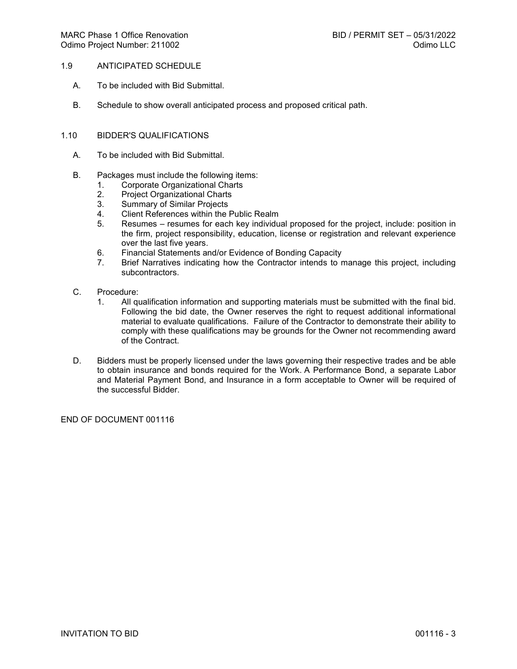## 1.9 ANTICIPATED SCHEDULE

- A. To be included with Bid Submittal.
- B. Schedule to show overall anticipated process and proposed critical path.

## 1.10 BIDDER'S QUALIFICATIONS

- A. To be included with Bid Submittal.
- B. Packages must include the following items:
	- 1. Corporate Organizational Charts
	- 2. Project Organizational Charts<br>3. Summary of Similar Projects
	- Summary of Similar Projects
	- 4. Client References within the Public Realm
	- 5. Resumes resumes for each key individual proposed for the project, include: position in the firm, project responsibility, education, license or registration and relevant experience over the last five years.
	- 6. Financial Statements and/or Evidence of Bonding Capacity
	- 7. Brief Narratives indicating how the Contractor intends to manage this project, including subcontractors.
- C. Procedure:
	- 1. All qualification information and supporting materials must be submitted with the final bid. Following the bid date, the Owner reserves the right to request additional informational material to evaluate qualifications. Failure of the Contractor to demonstrate their ability to comply with these qualifications may be grounds for the Owner not recommending award of the Contract.
- D. Bidders must be properly licensed under the laws governing their respective trades and be able to obtain insurance and bonds required for the Work. A Performance Bond, a separate Labor and Material Payment Bond, and Insurance in a form acceptable to Owner will be required of the successful Bidder.

END OF DOCUMENT 001116